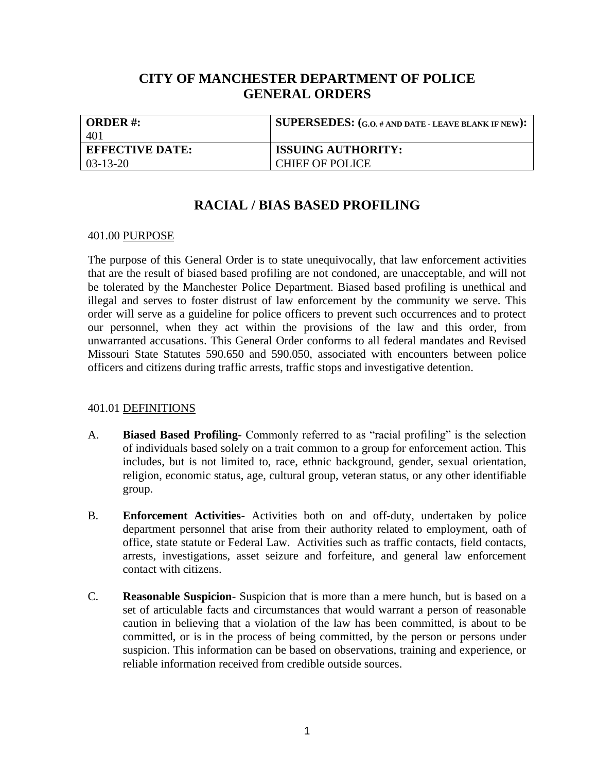## **CITY OF MANCHESTER DEPARTMENT OF POLICE GENERAL ORDERS**

| <b>ORDER#:</b>         | <b>SUPERSEDES:</b> (G.O. # AND DATE - LEAVE BLANK IF NEW): |
|------------------------|------------------------------------------------------------|
| 401                    |                                                            |
| <b>EFFECTIVE DATE:</b> | <b>ISSUING AUTHORITY:</b>                                  |
| $03-13-20$             | <b>CHIEF OF POLICE</b>                                     |

# **RACIAL / BIAS BASED PROFILING**

#### 401.00 PURPOSE

The purpose of this General Order is to state unequivocally, that law enforcement activities that are the result of biased based profiling are not condoned, are unacceptable, and will not be tolerated by the Manchester Police Department. Biased based profiling is unethical and illegal and serves to foster distrust of law enforcement by the community we serve. This order will serve as a guideline for police officers to prevent such occurrences and to protect our personnel, when they act within the provisions of the law and this order, from unwarranted accusations. This General Order conforms to all federal mandates and Revised Missouri State Statutes 590.650 and 590.050, associated with encounters between police officers and citizens during traffic arrests, traffic stops and investigative detention.

### 401.01 DEFINITIONS

- A. **Biased Based Profiling** Commonly referred to as "racial profiling" is the selection of individuals based solely on a trait common to a group for enforcement action. This includes, but is not limited to, race, ethnic background, gender, sexual orientation, religion, economic status, age, cultural group, veteran status, or any other identifiable group.
- B. **Enforcement Activities** Activities both on and off-duty, undertaken by police department personnel that arise from their authority related to employment, oath of office, state statute or Federal Law. Activities such as traffic contacts, field contacts, arrests, investigations, asset seizure and forfeiture, and general law enforcement contact with citizens.
- C. **Reasonable Suspicion** Suspicion that is more than a mere hunch, but is based on a set of articulable facts and circumstances that would warrant a person of reasonable caution in believing that a violation of the law has been committed, is about to be committed, or is in the process of being committed, by the person or persons under suspicion. This information can be based on observations, training and experience, or reliable information received from credible outside sources.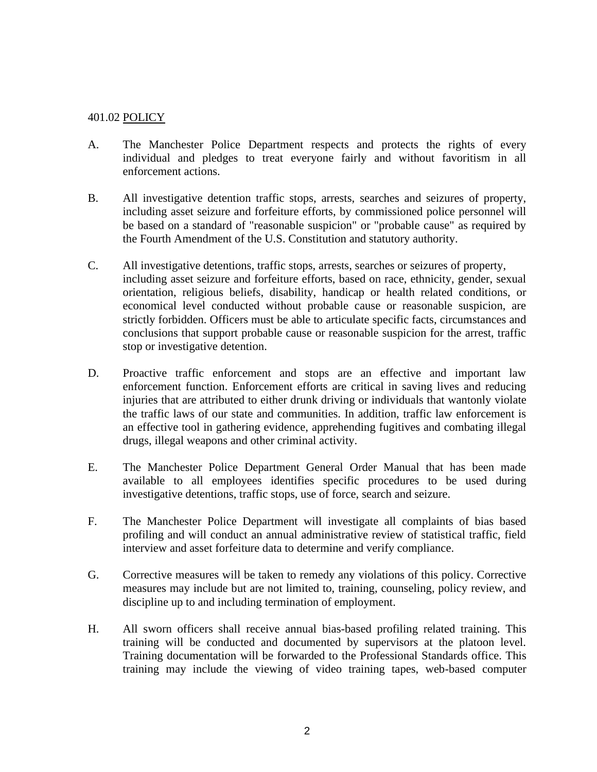### 401.02 POLICY

- A. The Manchester Police Department respects and protects the rights of every individual and pledges to treat everyone fairly and without favoritism in all enforcement actions.
- B. All investigative detention traffic stops, arrests, searches and seizures of property, including asset seizure and forfeiture efforts, by commissioned police personnel will be based on a standard of "reasonable suspicion" or "probable cause" as required by the Fourth Amendment of the U.S. Constitution and statutory authority.
- C. All investigative detentions, traffic stops, arrests, searches or seizures of property, including asset seizure and forfeiture efforts, based on race, ethnicity, gender, sexual orientation, religious beliefs, disability, handicap or health related conditions, or economical level conducted without probable cause or reasonable suspicion, are strictly forbidden. Officers must be able to articulate specific facts, circumstances and conclusions that support probable cause or reasonable suspicion for the arrest, traffic stop or investigative detention.
- D. Proactive traffic enforcement and stops are an effective and important law enforcement function. Enforcement efforts are critical in saving lives and reducing injuries that are attributed to either drunk driving or individuals that wantonly violate the traffic laws of our state and communities. In addition, traffic law enforcement is an effective tool in gathering evidence, apprehending fugitives and combating illegal drugs, illegal weapons and other criminal activity.
- E. The Manchester Police Department General Order Manual that has been made available to all employees identifies specific procedures to be used during investigative detentions, traffic stops, use of force, search and seizure.
- F. The Manchester Police Department will investigate all complaints of bias based profiling and will conduct an annual administrative review of statistical traffic, field interview and asset forfeiture data to determine and verify compliance.
- G. Corrective measures will be taken to remedy any violations of this policy. Corrective measures may include but are not limited to, training, counseling, policy review, and discipline up to and including termination of employment.
- H. All sworn officers shall receive annual bias-based profiling related training. This training will be conducted and documented by supervisors at the platoon level. Training documentation will be forwarded to the Professional Standards office. This training may include the viewing of video training tapes, web-based computer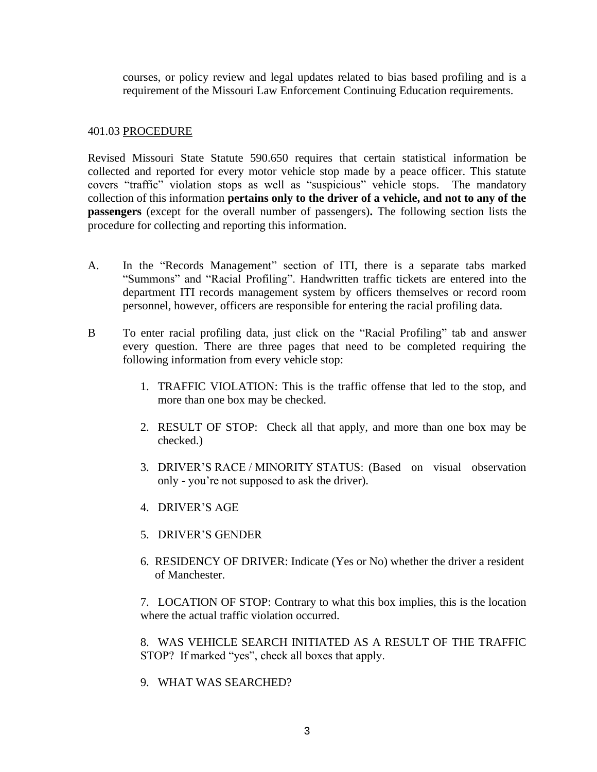courses, or policy review and legal updates related to bias based profiling and is a requirement of the Missouri Law Enforcement Continuing Education requirements.

#### 401.03 PROCEDURE

Revised Missouri State Statute 590.650 requires that certain statistical information be collected and reported for every motor vehicle stop made by a peace officer. This statute covers "traffic" violation stops as well as "suspicious" vehicle stops. The mandatory collection of this information **pertains only to the driver of a vehicle, and not to any of the passengers** (except for the overall number of passengers)**.** The following section lists the procedure for collecting and reporting this information.

- A. In the "Records Management" section of ITI, there is a separate tabs marked "Summons" and "Racial Profiling". Handwritten traffic tickets are entered into the department ITI records management system by officers themselves or record room personnel, however, officers are responsible for entering the racial profiling data.
- B To enter racial profiling data, just click on the "Racial Profiling" tab and answer every question. There are three pages that need to be completed requiring the following information from every vehicle stop:
	- 1. TRAFFIC VIOLATION: This is the traffic offense that led to the stop, and more than one box may be checked.
	- 2. RESULT OF STOP: Check all that apply, and more than one box may be checked.)
	- 3. DRIVER'S RACE / MINORITY STATUS: (Based on visual observation only - you're not supposed to ask the driver).
	- 4. DRIVER'S AGE
	- 5. DRIVER'S GENDER
	- 6. RESIDENCY OF DRIVER: Indicate (Yes or No) whether the driver a resident of Manchester.

7. LOCATION OF STOP: Contrary to what this box implies, this is the location where the actual traffic violation occurred.

8. WAS VEHICLE SEARCH INITIATED AS A RESULT OF THE TRAFFIC STOP? If marked "yes", check all boxes that apply.

9. WHAT WAS SEARCHED?